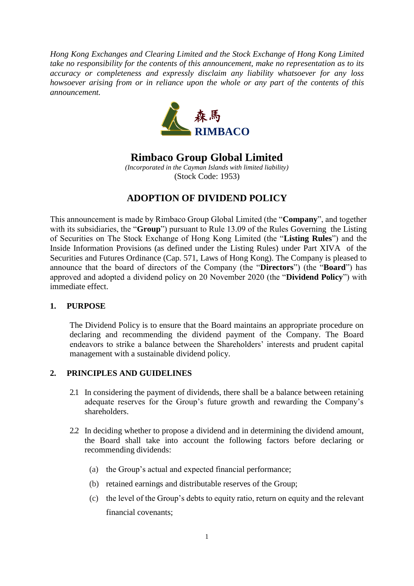*Hong Kong Exchanges and Clearing Limited and the Stock Exchange of Hong Kong Limited take no responsibility for the contents of this announcement, make no representation as to its accuracy or completeness and expressly disclaim any liability whatsoever for any loss howsoever arising from or in reliance upon the whole or any part of the contents of this announcement.*



**Rimbaco Group Global Limited**

*(Incorporated in the Cayman Islands with limited liability)* (Stock Code: 1953)

# **ADOPTION OF DIVIDEND POLICY**

This announcement is made by Rimbaco Group Global Limited (the "**Company**", and together with its subsidiaries, the "**Group**") pursuant to Rule 13.09 of the Rules Governing the Listing of Securities on The Stock Exchange of Hong Kong Limited (the "**Listing Rules**") and the Inside Information Provisions (as defined under the Listing Rules) under Part XIVA of the Securities and Futures Ordinance (Cap. 571, Laws of Hong Kong). The Company is pleased to announce that the board of directors of the Company (the "**Directors**") (the "**Board**") has approved and adopted a dividend policy on 20 November 2020 (the "**Dividend Policy**") with immediate effect.

# **1. PURPOSE**

The Dividend Policy is to ensure that the Board maintains an appropriate procedure on declaring and recommending the dividend payment of the Company. The Board endeavors to strike a balance between the Shareholders' interests and prudent capital management with a sustainable dividend policy.

### **2. PRINCIPLES AND GUIDELINES**

- 2.1 In considering the payment of dividends, there shall be a balance between retaining adequate reserves for the Group's future growth and rewarding the Company's shareholders.
- 2.2 In deciding whether to propose a dividend and in determining the dividend amount, the Board shall take into account the following factors before declaring or recommending dividends:
	- (a) the Group's actual and expected financial performance;
	- (b) retained earnings and distributable reserves of the Group;
	- (c) the level of the Group's debts to equity ratio, return on equity and the relevant financial covenants;